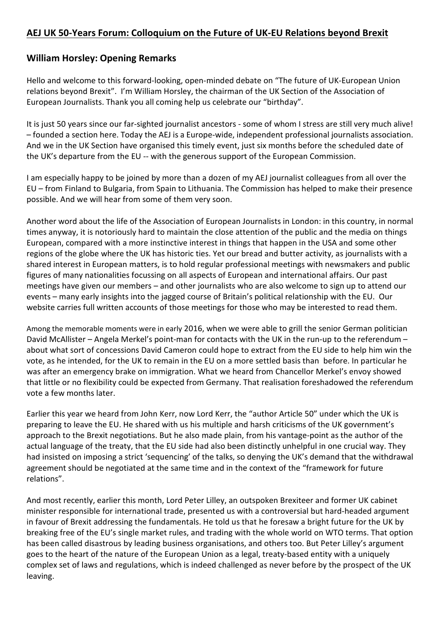## AEJ UK 50-Years Forum: Colloquium on the Future of UK-EU Relations beyond Brexit

## William Horsley: Opening Remarks

Hello and welcome to this forward-looking, open-minded debate on "The future of UK-European Union relations beyond Brexit". I'm William Horsley, the chairman of the UK Section of the Association of European Journalists. Thank you all coming help us celebrate our "birthday".

It is just 50 years since our far-sighted journalist ancestors - some of whom I stress are still very much alive! – founded a section here. Today the AEJ is a Europe-wide, independent professional journalists association. And we in the UK Section have organised this timely event, just six months before the scheduled date of the UK's departure from the EU -- with the generous support of the European Commission.

I am especially happy to be joined by more than a dozen of my AEJ journalist colleagues from all over the EU – from Finland to Bulgaria, from Spain to Lithuania. The Commission has helped to make their presence possible. And we will hear from some of them very soon.

Another word about the life of the Association of European Journalists in London: in this country, in normal times anyway, it is notoriously hard to maintain the close attention of the public and the media on things European, compared with a more instinctive interest in things that happen in the USA and some other regions of the globe where the UK has historic ties. Yet our bread and butter activity, as journalists with a shared interest in European matters, is to hold regular professional meetings with newsmakers and public figures of many nationalities focussing on all aspects of European and international affairs. Our past meetings have given our members – and other journalists who are also welcome to sign up to attend our events – many early insights into the jagged course of Britain's political relationship with the EU. Our website carries full written accounts of those meetings for those who may be interested to read them.

Among the memorable moments were in early 2016, when we were able to grill the senior German politician David McAllister – Angela Merkel's point-man for contacts with the UK in the run-up to the referendum – about what sort of concessions David Cameron could hope to extract from the EU side to help him win the vote, as he intended, for the UK to remain in the EU on a more settled basis than before. In particular he was after an emergency brake on immigration. What we heard from Chancellor Merkel's envoy showed that little or no flexibility could be expected from Germany. That realisation foreshadowed the referendum vote a few months later.

Earlier this year we heard from John Kerr, now Lord Kerr, the "author Article 50" under which the UK is preparing to leave the EU. He shared with us his multiple and harsh criticisms of the UK government's approach to the Brexit negotiations. But he also made plain, from his vantage-point as the author of the actual language of the treaty, that the EU side had also been distinctly unhelpful in one crucial way. They had insisted on imposing a strict 'sequencing' of the talks, so denying the UK's demand that the withdrawal agreement should be negotiated at the same time and in the context of the "framework for future relations".

And most recently, earlier this month, Lord Peter Lilley, an outspoken Brexiteer and former UK cabinet minister responsible for international trade, presented us with a controversial but hard-headed argument in favour of Brexit addressing the fundamentals. He told us that he foresaw a bright future for the UK by breaking free of the EU's single market rules, and trading with the whole world on WTO terms. That option has been called disastrous by leading business organisations, and others too. But Peter Lilley's argument goes to the heart of the nature of the European Union as a legal, treaty-based entity with a uniquely complex set of laws and regulations, which is indeed challenged as never before by the prospect of the UK leaving.